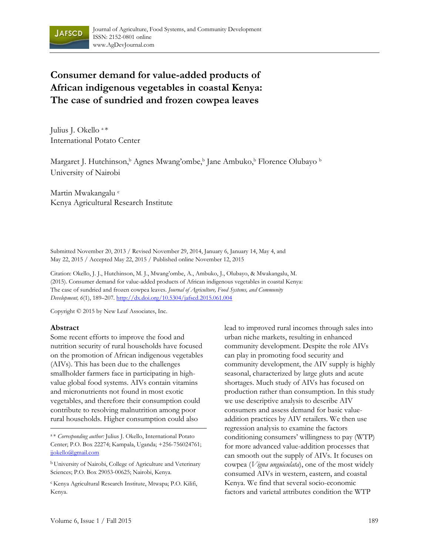

# **Consumer demand for value-added products of African indigenous vegetables in coastal Kenya: The case of sundried and frozen cowpea leaves**

Julius J. Okello a \* International Potato Center

Margaret J. Hutchinson,<sup>b</sup> Agnes Mwang'ombe,<sup>b</sup> Jane Ambuko,<sup>b</sup> Florence Olubayo <sup>b</sup> University of Nairobi

Martin Mwakangalu c Kenya Agricultural Research Institute

Submitted November 20, 2013 / Revised November 29, 2014, January 6, January 14, May 4, and May 22, 2015 / Accepted May 22, 2015 / Published online November 12, 2015

Citation: Okello, J. J., Hutchinson, M. J., Mwang'ombe, A., Ambuko, J., Olubayo, & Mwakangalu, M. (2015). Consumer demand for value-added products of African indigenous vegetables in coastal Kenya: The case of sundried and frozen cowpea leaves. *Journal of Agriculture, Food Systems, and Community Development, 6*(1), 189–207. http://dx.doi.org/10.5304/jafscd.2015.061.004

Copyright © 2015 by New Leaf Associates, Inc.

#### **Abstract**

Some recent efforts to improve the food and nutrition security of rural households have focused on the promotion of African indigenous vegetables (AIVs). This has been due to the challenges smallholder farmers face in participating in highvalue global food systems. AIVs contain vitamins and micronutrients not found in most exotic vegetables, and therefore their consumption could contribute to resolving malnutrition among poor rural households. Higher consumption could also

lead to improved rural incomes through sales into urban niche markets, resulting in enhanced community development. Despite the role AIVs can play in promoting food security and community development, the AIV supply is highly seasonal, characterized by large gluts and acute shortages. Much study of AIVs has focused on production rather than consumption. In this study we use descriptive analysis to describe AIV consumers and assess demand for basic valueaddition practices by AIV retailers. We then use regression analysis to examine the factors conditioning consumers' willingness to pay (WTP) for more advanced value-addition processes that can smooth out the supply of AIVs. It focuses on cowpea (*Vigna unguiculata*), one of the most widely consumed AIVs in western, eastern, and coastal Kenya. We find that several socio-economic factors and varietal attributes condition the WTP

<sup>a</sup> \* *Corresponding author:* Julius J. Okello, International Potato Center; P.O. Box 22274; Kampala, Uganda; +256-756024761; jjokello@gmail.com

<sup>b</sup> University of Nairobi, College of Agriculture and Veterinary Sciences; P.O. Box 29053-00625; Nairobi, Kenya.

<sup>c</sup> Kenya Agricultural Research Institute, Mtwapa; P.O. Kilifi, Kenya.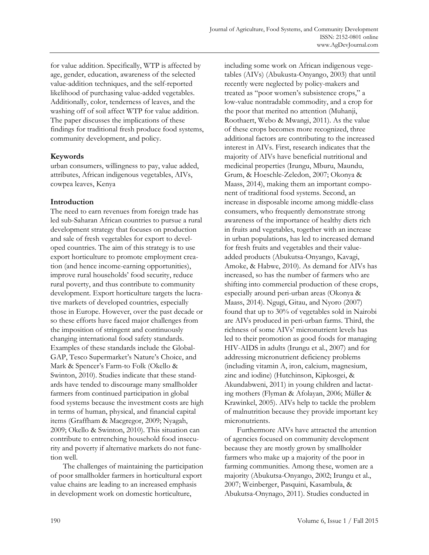for value addition. Specifically, WTP is affected by age, gender, education, awareness of the selected value-addition techniques, and the self-reported likelihood of purchasing value-added vegetables. Additionally, color, tenderness of leaves, and the washing off of soil affect WTP for value addition. The paper discusses the implications of these findings for traditional fresh produce food systems, community development, and policy.

# **Keywords**

urban consumers, willingness to pay, value added, attributes, African indigenous vegetables, AIVs, cowpea leaves, Kenya

# **Introduction**

The need to earn revenues from foreign trade has led sub-Saharan African countries to pursue a rural development strategy that focuses on production and sale of fresh vegetables for export to developed countries. The aim of this strategy is to use export horticulture to promote employment creation (and hence income-earning opportunities), improve rural households' food security, reduce rural poverty, and thus contribute to community development. Export horticulture targets the lucrative markets of developed countries, especially those in Europe. However, over the past decade or so these efforts have faced major challenges from the imposition of stringent and continuously changing international food safety standards. Examples of these standards include the Global-GAP, Tesco Supermarket's Nature's Choice, and Mark & Spencer's Farm-to Folk (Okello & Swinton, 2010). Studies indicate that these standards have tended to discourage many smallholder farmers from continued participation in global food systems because the investment costs are high in terms of human, physical, and financial capital items (Graffham & Macgregor, 2009; Nyagah, 2009; Okello & Swinton, 2010). This situation can contribute to entrenching household food insecurity and poverty if alternative markets do not function well.

 The challenges of maintaining the participation of poor smallholder farmers in horticultural export value chains are leading to an increased emphasis in development work on domestic horticulture,

including some work on African indigenous vegetables (AIVs) (Abukusta-Onyango, 2003) that until recently were neglected by policy-makers and treated as "poor women's subsistence crops," a low-value nontradable commodity, and a crop for the poor that merited no attention (Muhanji, Roothaert, Webo & Mwangi, 2011). As the value of these crops becomes more recognized, three additional factors are contributing to the increased interest in AIVs. First, research indicates that the majority of AIVs have beneficial nutritional and medicinal properties (Irungu, Mburu, Maundu, Grum, & Hoeschle-Zeledon, 2007; Okonya & Maass, 2014), making them an important component of traditional food systems. Second, an increase in disposable income among middle-class consumers, who frequently demonstrate strong awareness of the importance of healthy diets rich in fruits and vegetables, together with an increase in urban populations, has led to increased demand for fresh fruits and vegetables and their valueadded products (Abukutsa-Onyango, Kavagi, Amoke, & Habwe, 2010). As demand for AIVs has increased, so has the number of farmers who are shifting into commercial production of these crops, especially around peri-urban areas (Okonya & Maass, 2014). Ngugi, Gitau, and Nyoro (2007) found that up to 30% of vegetables sold in Nairobi are AIVs produced in peri-urban farms. Third, the richness of some AIVs' micronutrient levels has led to their promotion as good foods for managing HIV-AIDS in adults (Irungu et al., 2007) and for addressing micronutrient deficiency problems (including vitamin A, iron, calcium, magnesium, zinc and iodine) (Hutchinson, Kipkosgei, & Akundabweni, 2011) in young children and lactating mothers (Flyman & Afolayan, 2006; Müller & Krawinkel, 2005). AIVs help to tackle the problem of malnutrition because they provide important key micronutrients.

 Furthermore AIVs have attracted the attention of agencies focused on community development because they are mostly grown by smallholder farmers who make up a majority of the poor in farming communities. Among these, women are a majority (Abukutsa-Onyango, 2002; Irungu et al., 2007; Weinberger, Pasquini, Kasambula, & Abukutsa-Onynago, 2011). Studies conducted in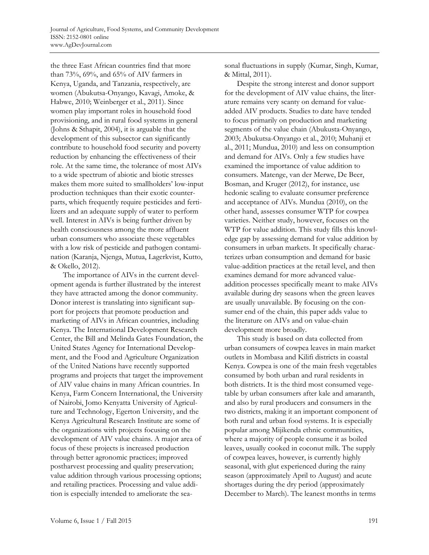the three East African countries find that more than 73%, 69%, and 65% of AIV farmers in Kenya, Uganda, and Tanzania, respectively, are women (Abukutsa-Onyango, Kavagi, Amoke, & Habwe, 2010; Weinberger et al., 2011). Since women play important roles in household food provisioning, and in rural food systems in general (Johns & Sthapit, 2004), it is arguable that the development of this subsector can significantly contribute to household food security and poverty reduction by enhancing the effectiveness of their role. At the same time, the tolerance of most AIVs to a wide spectrum of abiotic and biotic stresses makes them more suited to smallholders' low-input production techniques than their exotic counterparts, which frequently require pesticides and fertilizers and an adequate supply of water to perform well. Interest in AIVs is being further driven by health consciousness among the more affluent urban consumers who associate these vegetables with a low risk of pesticide and pathogen contamination (Karanja, Njenga, Mutua, Lagerkvist, Kutto, & Okello, 2012).

 The importance of AIVs in the current development agenda is further illustrated by the interest they have attracted among the donor community. Donor interest is translating into significant support for projects that promote production and marketing of AIVs in African countries, including Kenya. The International Development Research Center, the Bill and Melinda Gates Foundation, the United States Agency for International Development, and the Food and Agriculture Organization of the United Nations have recently supported programs and projects that target the improvement of AIV value chains in many African countries. In Kenya, Farm Concern International, the University of Nairobi, Jomo Kenyatta University of Agriculture and Technology, Egerton University, and the Kenya Agricultural Research Institute are some of the organizations with projects focusing on the development of AIV value chains. A major area of focus of these projects is increased production through better agronomic practices; improved postharvest processing and quality preservation; value addition through various processing options; and retailing practices. Processing and value addition is especially intended to ameliorate the seasonal fluctuations in supply (Kumar, Singh, Kumar, & Mittal, 2011).

 Despite the strong interest and donor support for the development of AIV value chains, the literature remains very scanty on demand for valueadded AIV products. Studies to date have tended to focus primarily on production and marketing segments of the value chain (Abukusta-Onyango, 2003; Abukutsa-Onyango et al., 2010; Muhanji et al., 2011; Mundua, 2010) and less on consumption and demand for AIVs. Only a few studies have examined the importance of value addition to consumers. Matenge, van der Merwe, De Beer, Bosman, and Kruger (2012), for instance, use hedonic scaling to evaluate consumer preference and acceptance of AIVs. Mundua (2010), on the other hand, assesses consumer WTP for cowpea varieties. Neither study, however, focuses on the WTP for value addition. This study fills this knowledge gap by assessing demand for value addition by consumers in urban markets. It specifically characterizes urban consumption and demand for basic value-addition practices at the retail level, and then examines demand for more advanced valueaddition processes specifically meant to make AIVs available during dry seasons when the green leaves are usually unavailable. By focusing on the consumer end of the chain, this paper adds value to the literature on AIVs and on value-chain development more broadly.

 This study is based on data collected from urban consumers of cowpea leaves in main market outlets in Mombasa and Kilifi districts in coastal Kenya. Cowpea is one of the main fresh vegetables consumed by both urban and rural residents in both districts. It is the third most consumed vegetable by urban consumers after kale and amaranth, and also by rural producers and consumers in the two districts, making it an important component of both rural and urban food systems. It is especially popular among Mijikenda ethnic communities, where a majority of people consume it as boiled leaves, usually cooked in coconut milk. The supply of cowpea leaves, however, is currently highly seasonal, with glut experienced during the rainy season (approximately April to August) and acute shortages during the dry period (approximately December to March). The leanest months in terms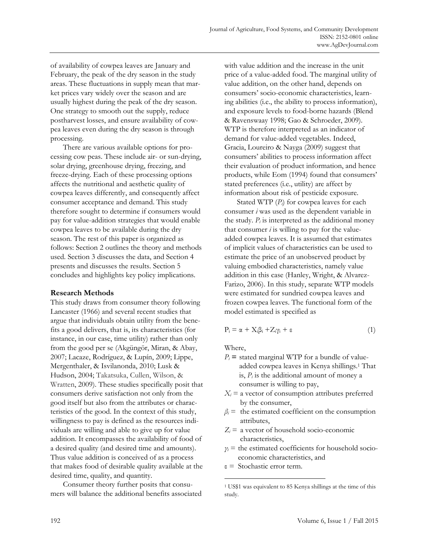of availability of cowpea leaves are January and February, the peak of the dry season in the study areas. These fluctuations in supply mean that market prices vary widely over the season and are usually highest during the peak of the dry season. One strategy to smooth out the supply, reduce postharvest losses, and ensure availability of cowpea leaves even during the dry season is through processing.

 There are various available options for processing cow peas. These include air- or sun-drying, solar drying, greenhouse drying, freezing, and freeze-drying. Each of these processing options affects the nutritional and aesthetic quality of cowpea leaves differently, and consequently affect consumer acceptance and demand. This study therefore sought to determine if consumers would pay for value-addition strategies that would enable cowpea leaves to be available during the dry season. The rest of this paper is organized as follows: Section 2 outlines the theory and methods used. Section 3 discusses the data, and Section 4 presents and discusses the results. Section 5 concludes and highlights key policy implications.

## **Research Methods**

This study draws from consumer theory following Lancaster (1966) and several recent studies that argue that individuals obtain utility from the benefits a good delivers, that is, its characteristics (for instance, in our case, time utility) rather than only from the good per se (Akgüngör, Miran, & Abay, 2007; Lacaze, Rodríguez, & Lupín, 2009; Lippe, Mergenthaler, & Isvilanonda, 2010; Lusk & Hudson, 2004; Takatsuka, Cullen, Wilson, & Wratten, 2009). These studies specifically posit that consumers derive satisfaction not only from the good itself but also from the attributes or characteristics of the good. In the context of this study, willingness to pay is defined as the resources individuals are willing and able to give up for value addition. It encompasses the availability of food of a desired quality (and desired time and amounts). Thus value addition is conceived of as a process that makes food of desirable quality available at the desired time, quality, and quantity.

 Consumer theory further posits that consumers will balance the additional benefits associated with value addition and the increase in the unit price of a value-added food. The marginal utility of value addition, on the other hand, depends on consumers' socio-economic characteristics, learning abilities (i.e., the ability to process information), and exposure levels to food-borne hazards (Blend & Ravenswaay 1998; Gao & Schroeder, 2009). WTP is therefore interpreted as an indicator of demand for value-added vegetables. Indeed, Gracia, Loureiro & Nayga (2009) suggest that consumers' abilities to process information affect their evaluation of product information, and hence products, while Eom (1994) found that consumers' stated preferences (i.e., utility) are affect by information about risk of pesticide exposure.

Stated WTP (*Pi*) for cowpea leaves for each consumer *i* was used as the dependent variable in the study.  $P_i$  is interpreted as the additional money that consumer  $i$  is willing to pay for the valueadded cowpea leaves. It is assumed that estimates of implicit values of characteristics can be used to estimate the price of an unobserved product by valuing embodied characteristics, namely value addition in this case (Hanley, Wright, & Alvarez-Farizo, 2006). In this study, separate WTP models were estimated for sundried cowpea leaves and frozen cowpea leaves. The functional form of the model estimated is specified as

$$
P_i = \alpha + X_i \beta_i + Z_i \gamma_i + \epsilon \tag{1}
$$

Where,

 $\overline{a}$ 

- $P_i$  = stated marginal WTP for a bundle of valueadded cowpea leaves in Kenya shillings.1 That is,  $P_i$  is the additional amount of money a consumer is willing to pay,
- $X_i$  = a vector of consumption attributes preferred by the consumer,
- $β<sub>i</sub>$  = the estimated coefficient on the consumption attributes,
- $Z_i$  = a vector of household socio-economic characteristics,
- $\gamma$ <sup>*i*</sup> = the estimated coefficients for household socioeconomic characteristics, and
- ε = Stochastic error term.

<sup>1</sup> US\$1 was equivalent to 85 Kenya shillings at the time of this study.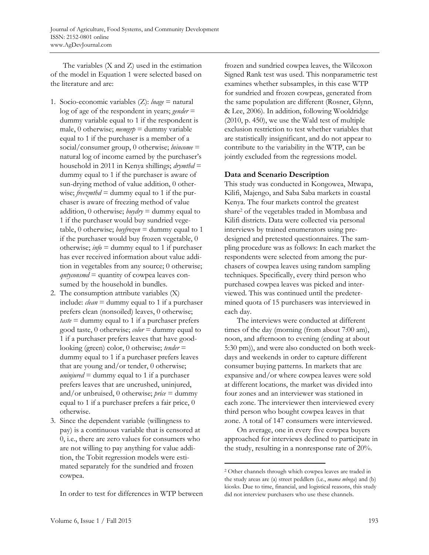The variables (X and Z) used in the estimation of the model in Equation 1 were selected based on the literature and are:

- 1. Socio-economic variables (Z): *lnage* = natural log of age of the respondent in years; *gender* = dummy variable equal to 1 if the respondent is male, 0 otherwise; *memgrp* = dummy variable equal to 1 if the purchaser is a member of a social/consumer group, 0 otherwise; *lnincome* = natural log of income earned by the purchaser's household in 2011 in Kenya shillings; *drymthd* = dummy equal to 1 if the purchaser is aware of sun-drying method of value addition, 0 otherwise; *freezmthd* = dummy equal to 1 if the purchaser is aware of freezing method of value addition, 0 otherwise;  $bwydry =$  dummy equal to 1 if the purchaser would buy sundried vegetable, 0 otherwise; *buyfrozen* = dummy equal to 1 if the purchaser would buy frozen vegetable, 0 otherwise;  $\text{info} =$  dummy equal to 1 if purchaser has ever received information about value addition in vegetables from any source; 0 otherwise; *qntyconsmd* = quantity of cowpea leaves consumed by the household in bundles.
- 2. The consumption attribute variables (X) include: *clean* = dummy equal to 1 if a purchaser prefers clean (nonsoiled) leaves, 0 otherwise; *taste* = dummy equal to 1 if a purchaser prefers good taste, 0 otherwise; *color* = dummy equal to 1 if a purchaser prefers leaves that have goodlooking (green) color, 0 otherwise; *tender* = dummy equal to 1 if a purchaser prefers leaves that are young and/or tender, 0 otherwise; *uninjured*  $=$  dummy equal to 1 if a purchaser prefers leaves that are uncrushed, uninjured, and/or unbruised, 0 otherwise; *price* = dummy equal to 1 if a purchaser prefers a fair price, 0 otherwise.
- 3. Since the dependent variable (willingness to pay) is a continuous variable that is censored at 0, i.e., there are zero values for consumers who are not willing to pay anything for value addition, the Tobit regression models were estimated separately for the sundried and frozen cowpea.

In order to test for differences in WTP between

frozen and sundried cowpea leaves, the Wilcoxon Signed Rank test was used. This nonparametric test examines whether subsamples, in this case WTP for sundried and frozen cowpeas, generated from the same population are different (Rosner, Glynn, & Lee, 2006). In addition, following Wooldridge (2010, p. 450), we use the Wald test of multiple exclusion restriction to test whether variables that are statistically insignificant, and do not appear to contribute to the variability in the WTP, can be jointly excluded from the regressions model.

### **Data and Scenario Description**

This study was conducted in Kongowea, Mtwapa, Kilifi, Majengo, and Saba Saba markets in coastal Kenya. The four markets control the greatest share2 of the vegetables traded in Mombasa and Kilifi districts. Data were collected via personal interviews by trained enumerators using predesigned and pretested questionnaires. The sampling procedure was as follows: In each market the respondents were selected from among the purchasers of cowpea leaves using random sampling techniques. Specifically, every third person who purchased cowpea leaves was picked and interviewed. This was continued until the predetermined quota of 15 purchasers was interviewed in each day.

 The interviews were conducted at different times of the day (morning (from about 7:00 am), noon, and afternoon to evening (ending at about 5:30 pm)), and were also conducted on both weekdays and weekends in order to capture different consumer buying patterns. In markets that are expansive and/or where cowpea leaves were sold at different locations, the market was divided into four zones and an interviewer was stationed in each zone. The interviewer then interviewed every third person who bought cowpea leaves in that zone. A total of 147 consumers were interviewed.

 On average, one in every five cowpea buyers approached for interviews declined to participate in the study, resulting in a nonresponse rate of 20%.

 $\overline{a}$ 

<sup>2</sup> Other channels through which cowpea leaves are traded in the study areas are (a) street peddlers (i.e., *mama mboga*) and (b) kiosks. Due to time, financial, and logistical reasons, this study did not interview purchasers who use these channels.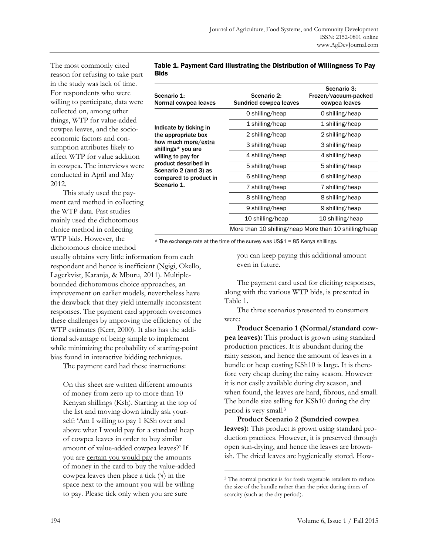The most commonly cited reason for refusing to take part in the study was lack of time. For respondents who were willing to participate, data were collected on, among other things, WTP for value-added cowpea leaves, and the socioeconomic factors and consumption attributes likely to affect WTP for value addition in cowpea. The interviews were conducted in April and May 2012.

 This study used the payment card method in collecting the WTP data. Past studies mainly used the dichotomous choice method in collecting WTP bids. However, the dichotomous choice method

usually obtains very little information from each respondent and hence is inefficient (Ngigi, Okello, Lagerkvist, Karanja, & Mburu, 2011). Multiplebounded dichotomous choice approaches, an improvement on earlier models, nevertheless have the drawback that they yield internally inconsistent responses. The payment card approach overcomes these challenges by improving the efficiency of the WTP estimates (Kerr, 2000). It also has the additional advantage of being simple to implement while minimizing the probability of starting-point bias found in interactive bidding techniques.

The payment card had these instructions:

On this sheet are written different amounts of money from zero up to more than 10 Kenyan shillings (Ksh). Starting at the top of the list and moving down kindly ask yourself: 'Am I willing to pay 1 KSh over and above what I would pay for a standard heap of cowpea leaves in order to buy similar amount of value-added cowpea leaves?' If you are certain you would pay the amounts of money in the card to buy the value-added cowpea leaves then place a tick  $(\forall)$  in the space next to the amount you will be willing to pay. Please tick only when you are sure

| Table 1. Payment Card Illustrating the Distribution of Willingness To Pay |  |
|---------------------------------------------------------------------------|--|
| <b>Bids</b>                                                               |  |

| Scenario 1:<br>Normal cowpea leaves                                                                          | Scenario 2:<br>Sundried cowpea leaves                 | Scenario 3:<br>Frozen/vacuum-packed<br>cowpea leaves |
|--------------------------------------------------------------------------------------------------------------|-------------------------------------------------------|------------------------------------------------------|
|                                                                                                              | 0 shilling/heap                                       | 0 shilling/heap                                      |
| Indicate by ticking in                                                                                       | 1 shilling/heap                                       | 1 shilling/heap                                      |
| the appropriate box                                                                                          | 2 shilling/heap                                       | 2 shilling/heap                                      |
| how much more/extra<br>shillings* you are                                                                    | 3 shilling/heap                                       | 3 shilling/heap                                      |
| willing to pay for<br>product described in<br>Scenario 2 (and 3) as<br>compared to product in<br>Scenario 1. | 4 shilling/heap                                       | 4 shilling/heap                                      |
|                                                                                                              | 5 shilling/heap                                       | 5 shilling/heap                                      |
|                                                                                                              | 6 shilling/heap                                       | 6 shilling/heap                                      |
|                                                                                                              | 7 shilling/heap                                       | 7 shilling/heap                                      |
|                                                                                                              | 8 shilling/heap                                       | 8 shilling/heap                                      |
|                                                                                                              | 9 shilling/heap                                       | 9 shilling/heap                                      |
|                                                                                                              | 10 shilling/heap                                      | 10 shilling/heap                                     |
|                                                                                                              | More than 10 shilling/heap More than 10 shilling/heap |                                                      |

\* The exchange rate at the time of the survey was US\$1 = 85 Kenya shillings.

 $\overline{a}$ 

you can keep paying this additional amount even in future.

 The payment card used for eliciting responses, along with the various WTP bids, is presented in Table 1.

 The three scenarios presented to consumers were:

 **Product Scenario 1 (Normal/standard cowpea leaves):** This product is grown using standard production practices. It is abundant during the rainy season, and hence the amount of leaves in a bundle or heap costing KSh10 is large. It is therefore very cheap during the rainy season. However it is not easily available during dry season, and when found, the leaves are hard, fibrous, and small. The bundle size selling for KSh10 during the dry period is very small.3

 **Product Scenario 2 (Sundried cowpea leaves):** This product is grown using standard production practices. However, it is preserved through open sun-drying, and hence the leaves are brownish. The dried leaves are hygienically stored. How-

<sup>&</sup>lt;sup>3</sup> The normal practice is for fresh vegetable retailers to reduce the size of the bundle rather than the price during times of scarcity (such as the dry period).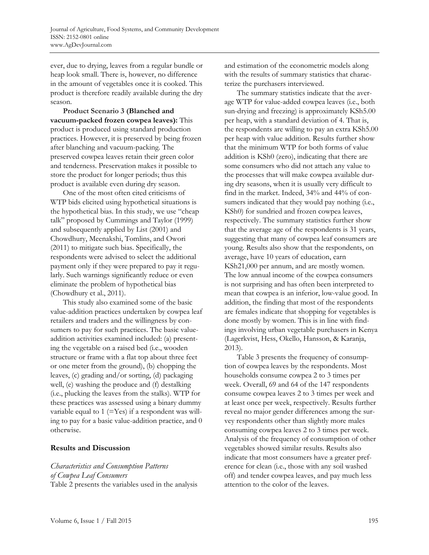ever, due to drying, leaves from a regular bundle or heap look small. There is, however, no difference in the amount of vegetables once it is cooked. This product is therefore readily available during the dry season.

 **Product Scenario 3 (Blanched and vacuum-packed frozen cowpea leaves):** This product is produced using standard production practices. However, it is preserved by being frozen after blanching and vacuum-packing. The preserved cowpea leaves retain their green color and tenderness. Preservation makes it possible to store the product for longer periods; thus this product is available even during dry season.

One of the most often cited criticisms of WTP bids elicited using hypothetical situations is the hypothetical bias. In this study, we use "cheap talk" proposed by Cummings and Taylor (1999) and subsequently applied by List (2001) and Chowdhury, Meenakshi, Tomlins, and Owori (2011) to mitigate such bias. Specifically, the respondents were advised to select the additional payment only if they were prepared to pay it regularly. Such warnings significantly reduce or even eliminate the problem of hypothetical bias (Chowdhury et al., 2011).

 This study also examined some of the basic value-addition practices undertaken by cowpea leaf retailers and traders and the willingness by consumers to pay for such practices. The basic valueaddition activities examined included: (a) presenting the vegetable on a raised bed (i.e., wooden structure or frame with a flat top about three feet or one meter from the ground), (b) chopping the leaves, (c) grading and/or sorting, (d) packaging well, (e) washing the produce and (f) destalking (i.e., plucking the leaves from the stalks). WTP for these practices was assessed using a binary dummy variable equal to  $1$  (=Yes) if a respondent was willing to pay for a basic value-addition practice, and 0 otherwise.

## **Results and Discussion**

*Characteristics and Consumption Patterns of Cowpea Leaf Consumers*  Table 2 presents the variables used in the analysis and estimation of the econometric models along with the results of summary statistics that characterize the purchasers interviewed.

 The summary statistics indicate that the average WTP for value-added cowpea leaves (i.e., both sun-drying and freezing) is approximately KSh5.00 per heap, with a standard deviation of 4. That is, the respondents are willing to pay an extra KSh5.00 per heap with value addition. Results further show that the minimum WTP for both forms of value addition is KSh0 (zero), indicating that there are some consumers who did not attach any value to the processes that will make cowpea available during dry seasons, when it is usually very difficult to find in the market. Indeed, 34% and 44% of consumers indicated that they would pay nothing (i.e., KSh0) for sundried and frozen cowpea leaves, respectively. The summary statistics further show that the average age of the respondents is 31 years, suggesting that many of cowpea leaf consumers are young. Results also show that the respondents, on average, have 10 years of education, earn KSh21,000 per annum, and are mostly women. The low annual income of the cowpea consumers is not surprising and has often been interpreted to mean that cowpea is an inferior, low-value good. In addition, the finding that most of the respondents are females indicate that shopping for vegetables is done mostly by women. This is in line with findings involving urban vegetable purchasers in Kenya (Lagerkvist, Hess, Okello, Hansson, & Karanja, 2013).

 Table 3 presents the frequency of consumption of cowpea leaves by the respondents. Most households consume cowpea 2 to 3 times per week. Overall, 69 and 64 of the 147 respondents consume cowpea leaves 2 to 3 times per week and at least once per week, respectively. Results further reveal no major gender differences among the survey respondents other than slightly more males consuming cowpea leaves 2 to 3 times per week. Analysis of the frequency of consumption of other vegetables showed similar results. Results also indicate that most consumers have a greater preference for clean (i.e., those with any soil washed off) and tender cowpea leaves, and pay much less attention to the color of the leaves.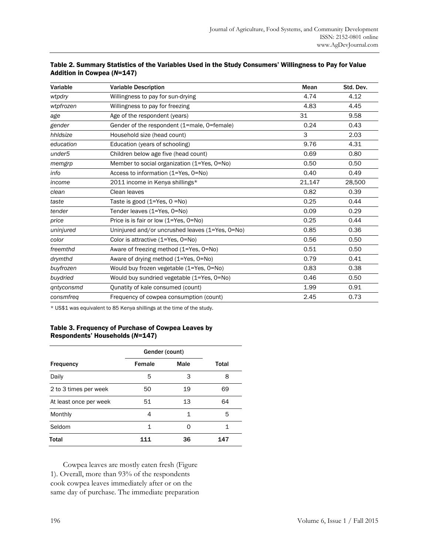| Variable           | <b>Variable Description</b>                     | Mean   | Std. Dev. |
|--------------------|-------------------------------------------------|--------|-----------|
| wtpdry             | Willingness to pay for sun-drying               | 4.74   | 4.12      |
| wtpfrozen          | Willingness to pay for freezing                 | 4.83   | 4.45      |
| age                | Age of the respondent (years)                   | 31     | 9.58      |
| gender             | Gender of the respondent (1=male, 0=female)     | 0.24   | 0.43      |
| hhldsize           | Household size (head count)                     | 3      | 2.03      |
| education          | Education (years of schooling)                  | 9.76   | 4.31      |
| under <sub>5</sub> | Children below age five (head count)            | 0.69   | 0.80      |
| memgrp             | Member to social organization (1=Yes, 0=No)     | 0.50   | 0.50      |
| info               | Access to information (1=Yes, 0=No)             | 0.40   | 0.49      |
| income             | 2011 income in Kenya shillings*                 | 21,147 | 28,500    |
| clean              | Clean leaves                                    | 0.82   | 0.39      |
| taste              | Taste is good $(1=Yes, 0=No)$                   | 0.25   | 0.44      |
| tender             | Tender leaves (1=Yes, 0=No)                     | 0.09   | 0.29      |
| price              | Price is is fair or low (1=Yes, 0=No)           | 0.25   | 0.44      |
| uninjured          | Uninjured and/or uncrushed leaves (1=Yes, 0=No) | 0.85   | 0.36      |
| color              | Color is attractive (1=Yes, 0=No)               | 0.56   | 0.50      |
| freemthd           | Aware of freezing method (1=Yes, 0=No)          | 0.51   | 0.50      |
| drymthd            | Aware of drying method (1=Yes, 0=No)            | 0.79   | 0.41      |
| buyfrozen          | Would buy frozen vegetable (1=Yes, 0=No)        | 0.83   | 0.38      |
| buydried           | Would buy sundried vegetable (1=Yes, 0=No)      | 0.46   | 0.50      |
| qntyconsmd         | Qunatity of kale consumed (count)               | 1.99   | 0.91      |
| consmfreq          | Frequency of cowpea consumption (count)         | 2.45   | 0.73      |
|                    |                                                 |        |           |

#### Table 2. Summary Statistics of the Variables Used in the Study Consumers' Willingness to Pay for Value Addition in Cowpea (*N*=147)

\* US\$1 was equivalent to 85 Kenya shillings at the time of the study.

### Table 3. Frequency of Purchase of Cowpea Leaves by Respondents' Households (*N*=147)

|                        | Gender (count) |      |       |
|------------------------|----------------|------|-------|
| <b>Frequency</b>       | Female         | Male | Total |
| Daily                  | 5              | З    | 8     |
| 2 to 3 times per week  | 50             | 19   | 69    |
| At least once per week | 51             | 13   | 64    |
| Monthly                | 4              |      | 5     |
| Seldom                 | 1              | O    |       |
| Total                  | 111            | 36   | 147   |

 Cowpea leaves are mostly eaten fresh (Figure 1). Overall, more than 93% of the respondents cook cowpea leaves immediately after or on the same day of purchase. The immediate preparation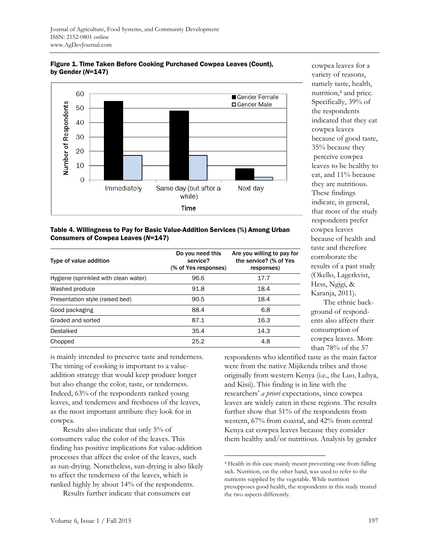

Figure 1. Time Taken Before Cooking Purchased Cowpea Leaves (Count), by Gender (*N*=147)

cowpea leaves for a variety of reasons, namely taste, health, nutrition,4 and price. Specifically, 39% of the respondents indicated that they eat cowpea leaves because of good taste, 35% because they perceive cowpea leaves to be healthy to eat, and 11% because they are nutritious. These findings indicate, in general, that most of the study respondents prefer cowpea leaves because of health and taste and therefore corroborate the results of a past study (Okello, Lagerkvist, Hess, Ngigi, & Karanja, 2011).

 The ethnic background of respondents also affects their consumption of cowpea leaves. More than 78% of the 57

#### Table 4. Willingness to Pay for Basic Value-Addition Services (%) Among Urban Consumers of Cowpea Leaves (*N*=147)

| Type of value addition               | Do you need this<br>service?<br>(% of Yes responses) | Are you willing to pay for<br>the service? (% of Yes<br>responses) |
|--------------------------------------|------------------------------------------------------|--------------------------------------------------------------------|
| Hygiene (sprinkled with clean water) | 96.6                                                 | 17.7                                                               |
| Washed produce                       | 91.8                                                 | 18.4                                                               |
| Presentation style (raised bed)      | 90.5                                                 | 18.4                                                               |
| Good packaging                       | 88.4                                                 | 6.8                                                                |
| Graded and sorted                    | 87.1                                                 | 16.3                                                               |
| Destalked                            | 35.4                                                 | 14.3                                                               |
| Chopped                              | 25.2                                                 | 4.8                                                                |

is mainly intended to preserve taste and tenderness. The timing of cooking is important to a valueaddition strategy that would keep produce longer but also change the color, taste, or tenderness. Indeed, 63% of the respondents ranked young leaves, and tenderness and freshness of the leaves, as the most important attribute they look for in cowpea.

 Results also indicate that only 5% of consumers value the color of the leaves. This finding has positive implications for value-addition processes that affect the color of the leaves, such as sun-drying. Nonetheless, sun-drying is also likely to affect the tenderness of the leaves, which is ranked highly by about 14% of the respondents.

Results further indicate that consumers eat

respondents who identified taste as the main factor were from the native Mijikenda tribes and those originally from western Kenya (i.e., the Luo, Luhya, and Kisii). This finding is in line with the researchers' *a priori* expectations, since cowpea leaves are widely eaten in these regions. The results further show that 51% of the respondents from western, 67% from coastal, and 42% from central Kenya eat cowpea leaves because they consider them healthy and/or nutritious. Analysis by gender

 $\overline{a}$ 

<sup>4</sup> Health in this case mainly meant preventing one from falling sick. Nutrition, on the other hand, was used to refer to the nutrients supplied by the vegetable. While nutrition presupposes good health, the respondents in this study treated the two aspects differently.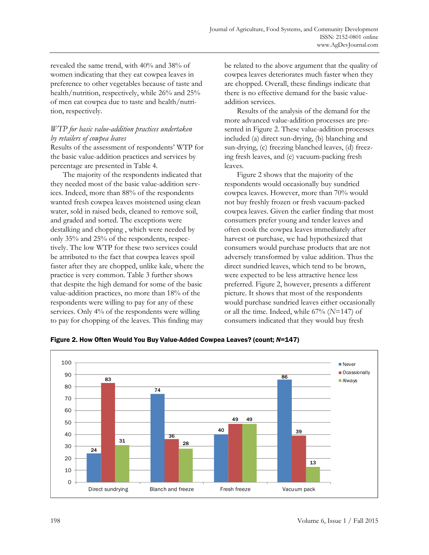revealed the same trend, with 40% and 38% of women indicating that they eat cowpea leaves in preference to other vegetables because of taste and health/nutrition, respectively, while 26% and 25% of men eat cowpea due to taste and health/nutrition, respectively.

# *WTP for basic value-addition practices undertaken by retailers of cowpea leaves*

Results of the assessment of respondents' WTP for the basic value-addition practices and services by percentage are presented in Table 4.

 The majority of the respondents indicated that they needed most of the basic value-addition services. Indeed, more than 88% of the respondents wanted fresh cowpea leaves moistened using clean water, sold in raised beds, cleaned to remove soil, and graded and sorted. The exceptions were destalking and chopping , which were needed by only 35% and 25% of the respondents, respectively. The low WTP for these two services could be attributed to the fact that cowpea leaves spoil faster after they are chopped, unlike kale, where the practice is very common. Table 3 further shows that despite the high demand for some of the basic value-addition practices, no more than 18% of the respondents were willing to pay for any of these services. Only 4% of the respondents were willing to pay for chopping of the leaves. This finding may

be related to the above argument that the quality of cowpea leaves deteriorates much faster when they are chopped. Overall, these findings indicate that there is no effective demand for the basic valueaddition services.

 Results of the analysis of the demand for the more advanced value-addition processes are presented in Figure 2. These value-addition processes included (a) direct sun-drying, (b) blanching and sun-drying, (c) freezing blanched leaves, (d) freezing fresh leaves, and (e) vacuum-packing fresh leaves.

 Figure 2 shows that the majority of the respondents would occasionally buy sundried cowpea leaves. However, more than 70% would not buy freshly frozen or fresh vacuum-packed cowpea leaves. Given the earlier finding that most consumers prefer young and tender leaves and often cook the cowpea leaves immediately after harvest or purchase, we had hypothesized that consumers would purchase products that are not adversely transformed by value addition. Thus the direct sundried leaves, which tend to be brown, were expected to be less attractive hence less preferred. Figure 2, however, presents a different picture. It shows that most of the respondents would purchase sundried leaves either occasionally or all the time. Indeed, while 67% (*N*=147) of consumers indicated that they would buy fresh



Figure 2. How Often Would You Buy Value-Added Cowpea Leaves? (count; *N*=147)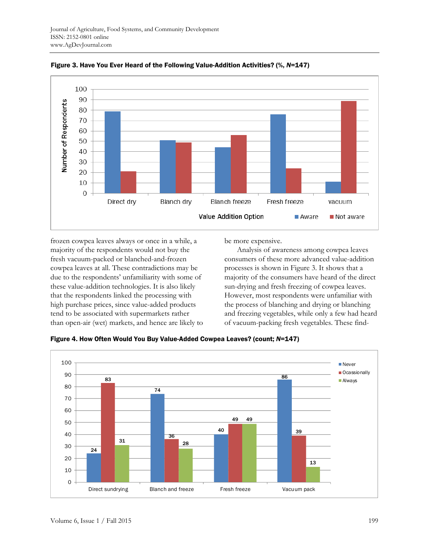

Figure 3. Have You Ever Heard of the Following Value-Addition Activities? (%, *N*=147)

frozen cowpea leaves always or once in a while, a majority of the respondents would not buy the fresh vacuum-packed or blanched-and-frozen cowpea leaves at all. These contradictions may be due to the respondents' unfamiliarity with some of these value-addition technologies. It is also likely that the respondents linked the processing with high purchase prices, since value-added products tend to be associated with supermarkets rather than open-air (wet) markets, and hence are likely to be more expensive.

 Analysis of awareness among cowpea leaves consumers of these more advanced value-addition processes is shown in Figure 3. It shows that a majority of the consumers have heard of the direct sun-drying and fresh freezing of cowpea leaves. However, most respondents were unfamiliar with the process of blanching and drying or blanching and freezing vegetables, while only a few had heard of vacuum-packing fresh vegetables. These find-

Figure 4. How Often Would You Buy Value-Added Cowpea Leaves? (count; *N*=147)

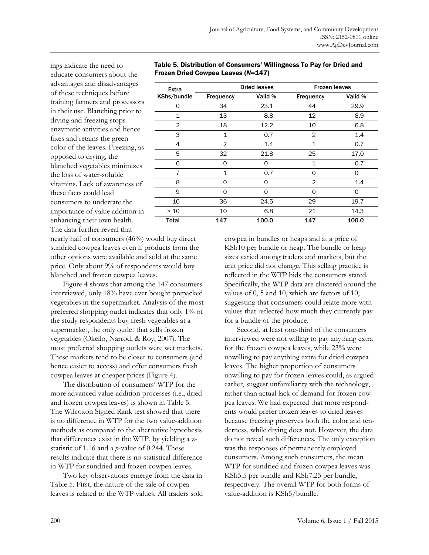ings indicate the need to educate consumers about the advantages and disadvantages of these techniques before training farmers and processors in their use. Blanching prior to drying and freezing stops enzymatic activities and hence fixes and retains the green color of the leaves. Freezing, as opposed to drying, the blanched vegetables minimizes the loss of water-soluble vitamins. Lack of awareness of these facts could lead consumers to underrate the importance of value addition in enhancing their own health. The data further reveal that

| Extra        |                | <b>Dried leaves</b> |                  | <b>Frozen leaves</b> |
|--------------|----------------|---------------------|------------------|----------------------|
| KShs/bundle  | Frequency      | Valid %             | <b>Frequency</b> | Valid %              |
| Ω            | 34             | 23.1                | 44               | 29.9                 |
| $\mathbf{1}$ | 13             | 8.8                 | 12               | 8.9                  |
| $\mathbf{2}$ | 18             | 12.2                | 10               | 6.8                  |
| 3            | $\mathbf 1$    | 0.7                 | $\overline{2}$   | 1.4                  |
| 4            | $\overline{2}$ | 1.4                 | $\mathbf{1}$     | 0.7                  |
| 5            | 32             | 21.8                | 25               | 17.0                 |
| 6            | Ω              | 0                   | 1                | 0.7                  |
| 7            | $\mathbf 1$    | 0.7                 | $\Omega$         | 0                    |
| 8            | Ω              | 0                   | $\overline{2}$   | 1.4                  |
| 9            | $\Omega$       | $\Omega$            | $\Omega$         | $\Omega$             |
| 10           | 36             | 24.5                | 29               | 19.7                 |
| $>10$        | 10             | 6.8                 | 21               | 14.3                 |
| Total        | 147            | 100.0               | 147              | 100.0                |

Table 5. Distribution of Consumers' Willingness To Pay for Dried and Frozen Dried Cowpea Leaves (*N*=147)

nearly half of consumers (46%) would buy direct sundried cowpea leaves even if products from the other options were available and sold at the same price. Only about 9% of respondents would buy blanched and frozen cowpea leaves.

 Figure 4 shows that among the 147 consumers interviewed, only 18% have ever bought prepacked vegetables in the supermarket. Analysis of the most preferred shopping outlet indicates that only 1% of the study respondents buy fresh vegetables at a supermarket, the only outlet that sells frozen vegetables (Okello, Narrod, & Roy, 2007). The most preferred shopping outlets were wet markets. These markets tend to be closer to consumers (and hence easier to access) and offer consumers fresh cowpea leaves at cheaper prices (Figure 4).

 The distribution of consumers' WTP for the more advanced value-addition processes (i.e., dried and frozen cowpea leaves) is shown in Table 5. The Wilcoxon Signed Rank test showed that there is no difference in WTP for the two value-addition methods as compared to the alternative hypothesis that differences exist in the WTP, by yielding a zstatistic of 1.16 and a *p*-value of 0.244. These results indicate that there is no statistical difference in WTP for sundried and frozen cowpea leaves.

 Two key observations emerge from the data in Table 5. First, the nature of the sale of cowpea leaves is related to the WTP values. All traders sold cowpea in bundles or heaps and at a price of KSh10 per bundle or heap. The bundle or heap sizes varied among traders and markets, but the unit price did not change. This selling practice is reflected in the WTP bids the consumers stated. Specifically, the WTP data are clustered around the values of 0, 5 and 10, which are factors of 10, suggesting that consumers could relate more with values that reflected how much they currently pay for a bundle of the produce.

 Second, at least one-third of the consumers interviewed were not willing to pay anything extra for the frozen cowpea leaves, while 23% were unwilling to pay anything extra for dried cowpea leaves. The higher proportion of consumers unwilling to pay for frozen leaves could, as argued earlier, suggest unfamiliarity with the technology, rather than actual lack of demand for frozen cowpea leaves. We had expected that more respondents would prefer frozen leaves to dried leaves because freezing preserves both the color and tenderness, while drying does not. However, the data do not reveal such differences. The only exception was the responses of permanently employed consumers. Among such consumers, the mean WTP for sundried and frozen cowpea leaves was KSh5.5 per bundle and KSh7.25 per bundle, respectively. The overall WTP for both forms of value-addition is KSh5/bundle.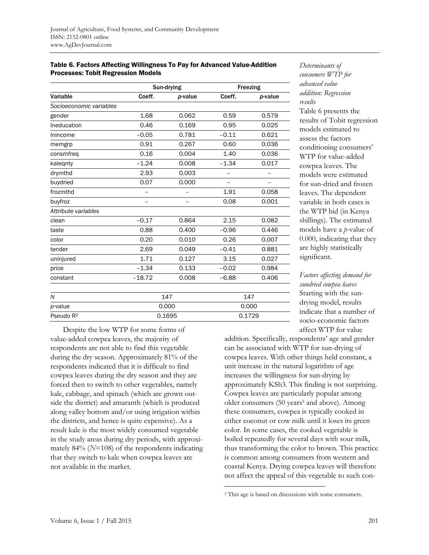#### Table 6. Factors Affecting Willingness To Pay for Advanced Value-Addition Processes: Tobit Regression Models

|                         | Sun-drying |         | Freezing |         |
|-------------------------|------------|---------|----------|---------|
| Variable                | Coeff.     | p-value | Coeff.   | p-value |
| Socioeconomic variables |            |         |          |         |
| gender                  | 1.68       | 0.062   | 0.59     | 0.579   |
| Ineducation             | 0.46       | 0.169   | 0.95     | 0.025   |
| Inincome                | $-0.05$    | 0.781   | $-0.11$  | 0.621   |
| memgrp                  | 0.91       | 0.267   | 0.60     | 0.036   |
| consmfreq               | 0.16       | 0.004   | 1.40     | 0.036   |
| kalegnty                | $-1.24$    | 0.008   | $-1.34$  | 0.017   |
| drymthd                 | 2.93       | 0.003   |          |         |
| buydried                | 0.07       | 0.000   |          |         |
| frozmthd                |            |         | 1.91     | 0.058   |
| buyfroz                 |            |         | 0.08     | 0.001   |
| Attribute variables     |            |         |          |         |
| clean                   | $-0.17$    | 0.864   | 2.15     | 0.082   |
| taste                   | 0.88       | 0.400   | $-0.96$  | 0.446   |
| color                   | 0.20       | 0.010   | 0.26     | 0.007   |
| tender                  | 2.69       | 0.049   | $-0.41$  | 0.881   |
| uninjured               | 1.71       | 0.127   | 3.15     | 0.027   |
| price                   | $-1.34$    | 0.133   | $-0.02$  | 0.984   |
| constant                | $-18.72$   | 0.008   | $-6.88$  | 0.406   |
| N                       | 147        |         | 147      |         |
| p-value                 | 0.000      |         | 0.000    |         |
| Pseudo R <sup>2</sup>   |            | 0.1695  | 0.1729   |         |

*Determinants of consumers WTP for advanced value addition: Regression results*  Table 6 presents the results of Tobit regression models estimated to assess the factors conditioning consumers' WTP for value-added cowpea leaves. The models were estimated for sun-dried and frozen leaves. The dependent variable in both cases is the WTP bid (in Kenya shillings). The estimated models have a *p*-value of 0.000, indicating that they are highly statistically significant.

*Factors affecting demand for sundried cowpea leaves*  Starting with the sundrying model, results indicate that a number of socio-economic factors affect WTP for value

addition. Specifically, respondents' age and gender can be associated with WTP for sun-drying of cowpea leaves. With other things held constant, a unit increase in the natural logarithm of age increases the willingness for sun-drying by approximately KSh3. This finding is not surprising. Cowpea leaves are particularly popular among older consumers (50 years<sup>5</sup> and above). Among these consumers, cowpea is typically cooked in either coconut or cow milk until it loses its green color. In some cases, the cooked vegetable is boiled repeatedly for several days with sour milk, thus transforming the color to brown. This practice is common among consumers from western and coastal Kenya. Drying cowpea leaves will therefore not affect the appeal of this vegetable to such con-

 $\overline{a}$ 

 Despite the low WTP for some forms of value-added cowpea leaves, the majority of respondents are not able to find this vegetable during the dry season. Approximately 81% of the respondents indicated that it is difficult to find cowpea leaves during the dry season and they are forced then to switch to other vegetables, namely kale, cabbage, and spinach (which are grown outside the district) and amaranth (which is produced along valley bottom and/or using irrigation within the districts, and hence is quite expensive). As a result kale is the most widely consumed vegetable in the study areas during dry periods, with approximately 84% (*N*=108) of the respondents indicating that they switch to kale when cowpea leaves are not available in the market.

<sup>5</sup> This age is based on discussions with some consumers.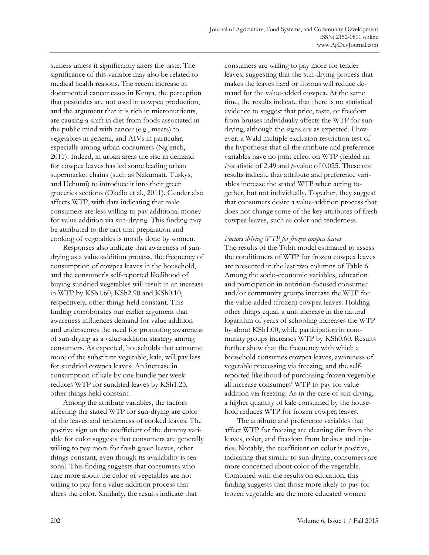sumers unless it significantly alters the taste. The significance of this variable may also be related to medical health reasons. The recent increase in documented cancer cases in Kenya, the perception that pesticides are not used in cowpea production, and the argument that it is rich in micronutrients, are causing a shift in diet from foods associated in the public mind with cancer (e.g., meats) to vegetables in general, and AIVs in particular, especially among urban consumers (Ng'etich, 2011). Indeed, in urban areas the rise in demand for cowpea leaves has led some leading urban supermarket chains (such as Nakumatt, Tuskys, and Uchumi) to introduce it into their green groceries sections (Okello et al., 2011). Gender also affects WTP, with data indicating that male consumers are less willing to pay additional money for value addition via sun-drying. This finding may be attributed to the fact that preparation and cooking of vegetables is mostly done by women.

 Responses also indicate that awareness of sundrying as a value-addition process, the frequency of consumption of cowpea leaves in the household, and the consumer's self-reported likelihood of buying sundried vegetables will result in an increase in WTP by KSh1.60, KSh2.90 and KSh0.10, respectively, other things held constant. This finding corroborates our earlier argument that awareness influences demand for value addition and underscores the need for promoting awareness of sun-drying as a value-addition strategy among consumers. As expected, households that consume more of the substitute vegetable, kale, will pay less for sundried cowpea leaves. An increase in consumption of kale by one bundle per week reduces WTP for sundried leaves by KSh1.23, other things held constant.

 Among the attribute variables, the factors affecting the stated WTP for sun-drying are color of the leaves and tenderness of cooked leaves. The positive sign on the coefficient of the dummy variable for color suggests that consumers are generally willing to pay more for fresh green leaves, other things constant, even though its availability is seasonal. This finding suggests that consumers who care more about the color of vegetables are not willing to pay for a value-addition process that alters the color. Similarly, the results indicate that

consumers are willing to pay more for tender leaves, suggesting that the sun-drying process that makes the leaves hard or fibrous will reduce demand for the value-added cowpea. At the same time, the results indicate that there is no statistical evidence to suggest that price, taste, or freedom from bruises individually affects the WTP for sundrying, although the signs are as expected. However, a Wald multiple exclusion restriction test of the hypothesis that all the attribute and preference variables have no joint effect on WTP yielded an *F*-statistic of 2.49 and *p*-value of 0.025. These test results indicate that attribute and preference variables increase the stated WTP when acting together, but not individually. Together, they suggest that consumers desire a value-addition process that does not change some of the key attributes of fresh cowpea leaves, such as color and tenderness.

#### *Factors driving WTP for frozen cowpea leaves*

The results of the Tobit model estimated to assess the conditioners of WTP for frozen cowpea leaves are presented in the last two columns of Table 6. Among the socio-economic variables, education and participation in nutrition-focused consumer and/or community groups increase the WTP for the value-added (frozen) cowpea leaves. Holding other things equal, a unit increase in the natural logarithm of years of schooling increases the WTP by about KSh1.00, while participation in community groups increases WTP by KSh0.60. Results further show that the frequency with which a household consumes cowpea leaves, awareness of vegetable processing via freezing, and the selfreported likelihood of purchasing frozen vegetable all increase consumers' WTP to pay for value addition via freezing. As in the case of sun-drying, a higher quantity of kale consumed by the household reduces WTP for frozen cowpea leaves.

 The attribute and preference variables that affect WTP for freezing are cleaning dirt from the leaves, color, and freedom from bruises and injuries. Notably, the coefficient on color is positive, indicating that similar to sun-drying, consumers are more concerned about color of the vegetable. Combined with the results on education, this finding suggests that those more likely to pay for frozen vegetable are the more educated women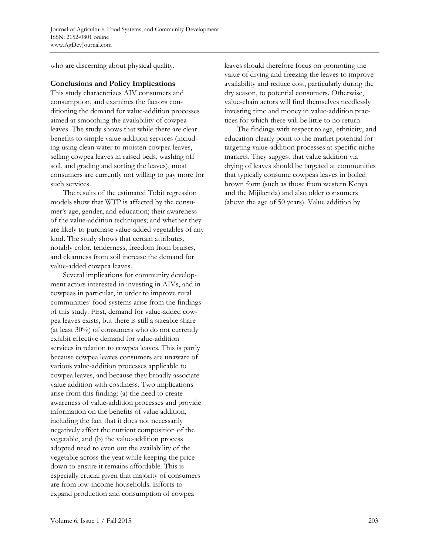who are discerning about physical quality.

#### **Conclusions and Policy Implications**

This study characterizes AIV consumers and consumption, and examines the factors conditioning the demand for value-addition processes aimed at smoothing the availability of cowpea leaves. The study shows that while there are clear benefits to simple value-addition services (including using clean water to moisten cowpea leaves, selling cowpea leaves in raised beds, washing off soil, and grading and sorting the leaves), most consumers are currently not willing to pay more for such services.

 The results of the estimated Tobit regression models show that WTP is affected by the consumer's age, gender, and education; their awareness of the value-addition techniques; and whether they are likely to purchase value-added vegetables of any kind. The study shows that certain attributes, notably color, tenderness, freedom from bruises, and cleanness from soil increase the demand for value-added cowpea leaves.

 Several implications for community development actors interested in investing in AIVs, and in cowpeas in particular, in order to improve rural communities' food systems arise from the findings of this study. First, demand for value-added cowpea leaves exists, but there is still a sizeable share (at least 30%) of consumers who do not currently exhibit effective demand for value-addition services in relation to cowpea leaves. This is partly because cowpea leaves consumers are unaware of various value-addition processes applicable to cowpea leaves, and because they broadly associate value addition with costliness. Two implications arise from this finding: (a) the need to create awareness of value-addition processes and provide information on the benefits of value addition, including the fact that it does not necessarily negatively affect the nutrient composition of the vegetable, and (b) the value-addition process adopted need to even out the availability of the vegetable across the year while keeping the price down to ensure it remains affordable. This is especially crucial given that majority of consumers are from low-income households. Efforts to expand production and consumption of cowpea

leaves should therefore focus on promoting the value of drying and freezing the leaves to improve availability and reduce cost, particularly during the dry season, to potential consumers. Otherwise, value-chain actors will find themselves needlessly investing time and money in value-addition practices for which there will be little to no return.

 The findings with respect to age, ethnicity, and education clearly point to the market potential for targeting value-addition processes at specific niche markets. They suggest that value addition via drying of leaves should be targeted at communities that typically consume cowpeas leaves in boiled brown form (such as those from western Kenya and the Mijikenda) and also older consumers (above the age of 50 years). Value addition by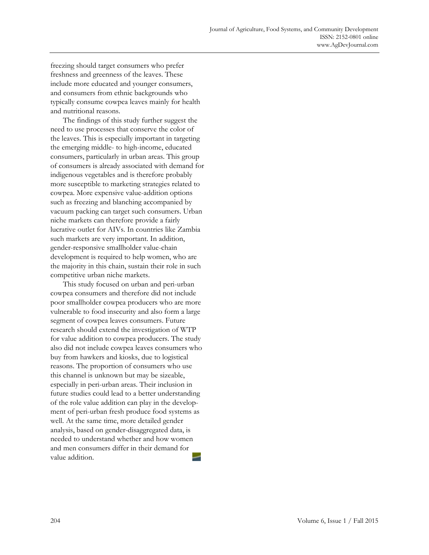freezing should target consumers who prefer freshness and greenness of the leaves. These include more educated and younger consumers, and consumers from ethnic backgrounds who typically consume cowpea leaves mainly for health and nutritional reasons.

 The findings of this study further suggest the need to use processes that conserve the color of the leaves. This is especially important in targeting the emerging middle- to high-income, educated consumers, particularly in urban areas. This group of c[onsumers is already associated with demand for](http://www.academia.edu/2657989/SUSTAINABLE_HORTICULTURAL_PRODUCTION_IN_THE_TROPICS) indigenous vegetables and is therefore probably more susceptible to marketing strategies related to cowpea. More expensive value-addition options such as freezing and blanching accompanied by vacuum packing can target such consumers. Urban niche markets can therefore provide a fairly lucrative outlet for AIVs. In countries like Zambia such markets are very important. In addition, gender-responsive smallholder value-chain development is required to help women, who are the majority in this chain, sustain their role in such competitive urban niche markets.

 This study focused on urban and peri-urban cowpea consumers and therefore did not include poor smallholder cowpea producers who are more vulnerable to food insecurity and also form a large segment of cowpea leaves consumers. Future research should extend the investigation of WTP for value addition to cowpea producers. The study also did not include cowpea leaves consumers who buy from hawkers and kiosks, due to logistical reas[ons. The proportion of consumers who use](http://ageconsearch.umn.edu/bitstream/11645/1/sp98-20.pdf) this channel is unknown but may be sizeable, especially in peri-urban areas. Their inclusion in future studies could lead to a better understanding of the role value addition can play in the development of peri-urban fresh produce food systems as well. At the same time, more detailed gender analysis, based on gender-disaggregated data, is needed to understand whether and how women and men consumers differ in their demand for value addition.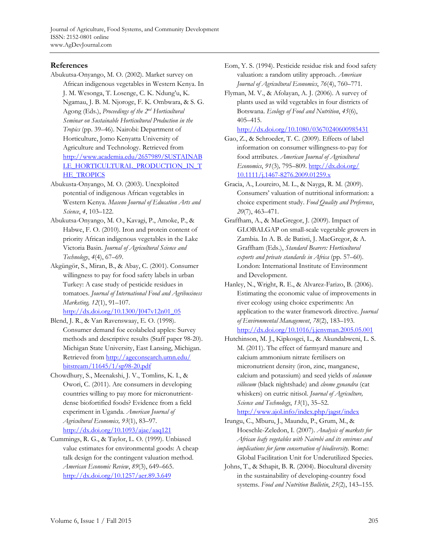# **References**

- Abukutsa-Onyango, M. O. (2002). Market survey on African indigenous vegetables in Western Kenya. In J. M. Wesonga, T. Losenge, C. K. Ndung'u, K. Ngamau, J. B. M. Njoroge, F. K. Ombwara, & S. G. Agong (Eds.), *Proceedings of the 2nd Horticultural Seminar on Sustainable Horticultural Production in the Tropics* (pp. 39–46). Nairobi: Department of Horticulture, Jomo Kenyatta University of Agriculture and Technology. Retrieved from [http://www.academia.edu/2657989/SUSTAINAB](https://researcharchive.lincoln.ac.nz/bitstream/handle/10182/532/cd_dp_87.pdf) LE\_HORTICULTURAL\_PRODUCTION\_IN\_T HE\_TROPICS
- Abukusta-Onyango, M. O. (2003). Unexploited potential of indigenous African vegetables in Western Kenya. *Maseno Journal of Education Arts and Science*, *4*, 103–122.
- Abukutsa-Onyango, M. O., Kavagi, P., Amoke, P., & Habwe, F. O. (2010). Iron and protein content of priority African indigenous vegetables in the Lake Victoria Basin. *[Journal of Agricultural Science and](http://ageconsearch.umn.edu/bitstream/51016/2/297.pdf)  Technology*, *4*(4), 67–69.
- Akgüngör, S., Miran, B., & Abay, C. (2001). Consumer willingness to pay for food safety labels in urban Turkey: A case study of pesticide residues in tomatoes. *Journal of International Food and Agribusiness Marketing, 12*(1), 91–107. http://dx.doi.org/10.1300/J047v12n01\_05
- Blend, J. R., & Van Ravenswaay, E. O. (1998). Consumer demand foe ecolabeled apples: Survey methods and descriptive results (Staff paper 98-20). Michigan State University, East Lansing, Michigan. Retrieved from http://ageconsearch.umn.edu/ bitstream/11645/1/sp98-20.pdf
- Chowdhury, S., Meenakshi, J. V., Tomlins, K. I., & Owori, C. (2011). Are consumers in developing countries willing to pay more for micronutrientdense biofortified foods? Evidence from a field experiment in Uganda. *American Journal of Agricultural Economics, 93*(1), 83–97. http://dx.doi.org/10.1093/ajae/aaq121
- Cummings, R. G., & Taylor, L. O. (1999). Unbiased value estimates for environmental goods: A cheap talk design for the contingent valuation method. *American Economic Review*, *89*(3), 649–665. http://dx.doi.org/10.1257/aer.89.3.649
- Eom, Y. S. (1994). Pesticide residue risk and food safety valuation: a random utility approach. *American Journal of Agricultural Economics*, *76*(4), 760–771.
- Flyman, M. V., & Afolayan, A. J. (2006). A survey of plants used as wild vegetables in four districts of Botswana. *Ecology of Food and Nutrition*, *45*(6), 405–415.

http://dx.doi.org/10.1080/03670240600985431

- Gao, Z., & Schroeder, T. C. (2009). Effects of label information on consumer willingness-to-pay for food attributes. *American Journal of Agricultural Economics*, *91*(3)*,* 795–809. http://dx.doi.org/ 10.1111/j.1467-8276.2009.01259.x
- Gracia, A., Loureiro, M. L., & Nayga, R. M. (2009). Consumers' valuation of nutritional information: a choice experiment study. *Food Quality and Preference*, *20*(7), 463–471.
- Graffham, A., & MacGregor, J. (2009). Impact of GLOBALGAP on small-scale vegetable growers in Zambia. In A. B. de Batisti, J. MacGregor, & A. Graffham (Eds.), *Standard Bearers: Horticultural exports and private standards in Africa* (pp. 57–60). London: International Institute of Environment and Development.
- Hanley, N., Wright, R. E., & Alvarez-Farizo, B. (2006). [Estimating the economic value of improvements in](http://ijbssnet.com/journals/Vol._2_No._7;_Special_Issue_April_2011/23.pdf) river ecology using choice experiments: An application to the water framework directive. *Journal of Environmental Management*, *78*(2), 183–193. http://dx.doi.org/10.1016/j.jenvman.2005.05.001
- Hutchinson, M. J., Kipkosgei, L., & Akundabweni, L. S. M. (2011). The effect of farmyard manure and calcium ammonium nitrate fertilisers on [micronutrient density \(iron, zinc, manganese,](http://www.fao.org/fileadmin/user_upload/ivc/docs/Access_to_High_Value_Markets_Indigenous_Vegetables.pdf)  calcium and potassium) and seed yields of *solanum villosum* (black nightshade) and *cleome gynandra* (cat whiskers) on eutric nitisol. *Journal of Agriculture, Science and Technology*, *13*(1), 35–52.

http://www.ajol.info/index.php/jagst/index

- Irungu, C., Mburu, J., Maundu, P., Grum, M., & Hoeschle-Zeledon, I. (2007). *Analysis of markets for African leafy vegetables with Nairobi and its environs and implications for farm conservation of biodiversity.* Rome: Global Facilitation Unit for Underutilized Species.
- Johns, T., & Sthapit, B. R. (2004). Biocultural diversity in the sustainability of developing-country food systems. *Food and Nutrition Bulletin*, *25*(2), 143–155.